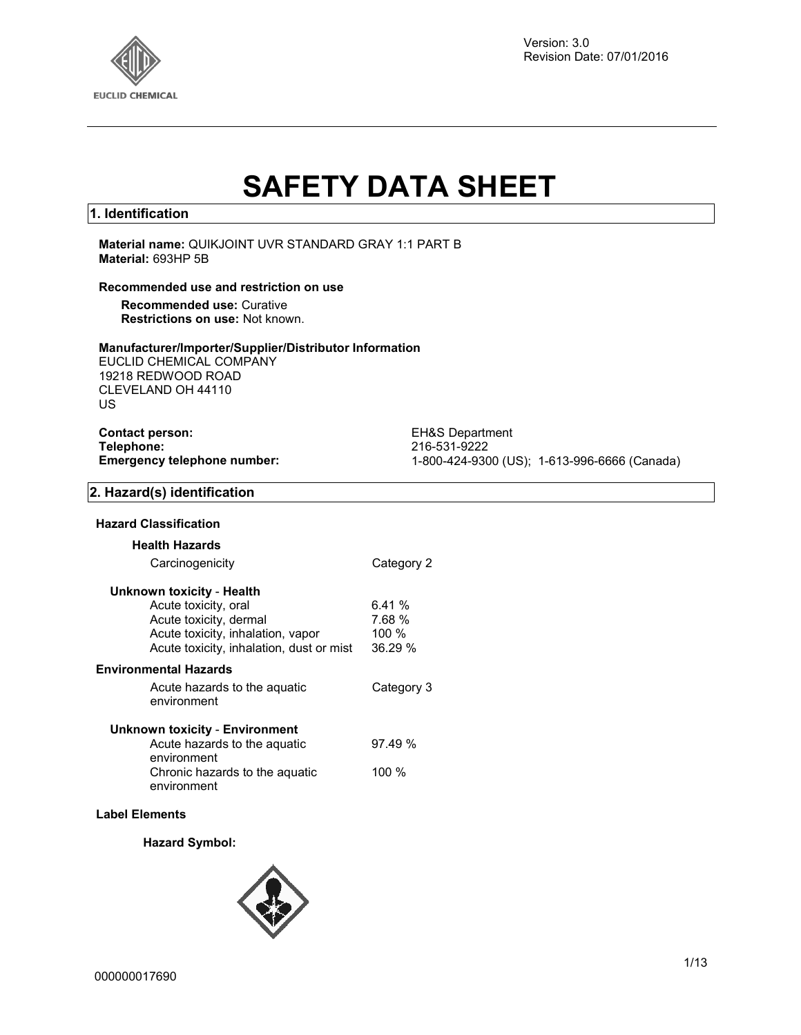

Version: 3.0 Revision Date: 07/01/2016

# **SAFETY DATA SHEET**

#### **1. Identification**

**Material name:** QUIKJOINT UVR STANDARD GRAY 1:1 PART B **Material:** 693HP 5B

#### **Recommended use and restriction on use**

**Recommended use:** Curative **Restrictions on use:** Not known.

#### **Manufacturer/Importer/Supplier/Distributor Information**

EUCLID CHEMICAL COMPANY 19218 REDWOOD ROAD CLEVELAND OH 44110 US

| <b>Contact person:</b>      |
|-----------------------------|
| Telephone:                  |
| Emergency telephone number: |

**EH&S Department Telephone:** 216-531-9222 **Emergency telephone number:** 1-800-424-9300 (US); 1-613-996-6666 (Canada)

#### **2. Hazard(s) identification**

#### **Hazard Classification**

| <b>Health Hazards</b>                         |            |
|-----------------------------------------------|------------|
| Carcinogenicity                               | Category 2 |
| Unknown toxicity - Health                     |            |
| Acute toxicity, oral                          | 6.41%      |
| Acute toxicity, dermal                        | 7.68 %     |
| Acute toxicity, inhalation, vapor             | 100 $%$    |
| Acute toxicity, inhalation, dust or mist      | 36.29 %    |
| Environmental Hazards                         |            |
| Acute hazards to the aquatic<br>environment   | Category 3 |
| Unknown toxicity - Environment                |            |
| Acute hazards to the aquatic<br>environment   | 97.49%     |
| Chronic hazards to the aguatic<br>environment | 100 %      |

#### **Label Elements**

#### **Hazard Symbol:**

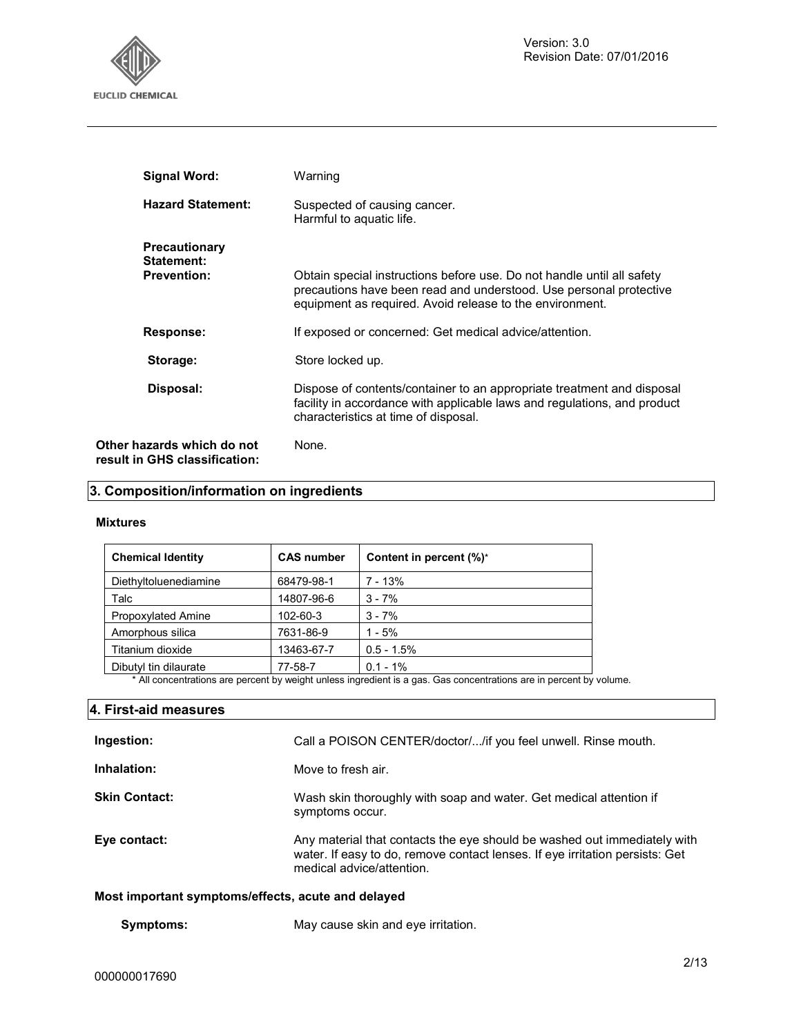

| <b>Signal Word:</b>                                         | Warning                                                                                                                                                                                                  |
|-------------------------------------------------------------|----------------------------------------------------------------------------------------------------------------------------------------------------------------------------------------------------------|
| <b>Hazard Statement:</b>                                    | Suspected of causing cancer.<br>Harmful to aquatic life.                                                                                                                                                 |
| <b>Precautionary</b><br>Statement:<br><b>Prevention:</b>    | Obtain special instructions before use. Do not handle until all safety<br>precautions have been read and understood. Use personal protective<br>equipment as required. Avoid release to the environment. |
| Response:                                                   | If exposed or concerned: Get medical advice/attention.                                                                                                                                                   |
| Storage:                                                    | Store locked up.                                                                                                                                                                                         |
| Disposal:                                                   | Dispose of contents/container to an appropriate treatment and disposal<br>facility in accordance with applicable laws and regulations, and product<br>characteristics at time of disposal.               |
| Other hazards which do not<br>result in GHS classification: | None.                                                                                                                                                                                                    |

## **3. Composition/information on ingredients**

#### **Mixtures**

| <b>Chemical Identity</b>  | <b>CAS number</b> | Content in percent (%)* |
|---------------------------|-------------------|-------------------------|
| Diethyltoluenediamine     | 68479-98-1        | $7 - 13%$               |
| Talc                      | 14807-96-6        | $3 - 7%$                |
| <b>Propoxylated Amine</b> | 102-60-3          | $3 - 7%$                |
| Amorphous silica          | 7631-86-9         | $1 - 5%$                |
| Titanium dioxide          | 13463-67-7        | $0.5 - 1.5%$            |
| Dibutyl tin dilaurate     | 77-58-7           | $0.1 - 1\%$             |

\* All concentrations are percent by weight unless ingredient is a gas. Gas concentrations are in percent by volume.

| 4. First-aid measures                              |                                                                                                                                                                                       |
|----------------------------------------------------|---------------------------------------------------------------------------------------------------------------------------------------------------------------------------------------|
| Ingestion:                                         | Call a POISON CENTER/doctor//if you feel unwell. Rinse mouth.                                                                                                                         |
| Inhalation:                                        | Move to fresh air.                                                                                                                                                                    |
| <b>Skin Contact:</b>                               | Wash skin thoroughly with soap and water. Get medical attention if<br>symptoms occur.                                                                                                 |
| Eye contact:                                       | Any material that contacts the eye should be washed out immediately with<br>water. If easy to do, remove contact lenses. If eye irritation persists: Get<br>medical advice/attention. |
| Most important cumptame/offects, soute and delayed |                                                                                                                                                                                       |

#### **Most important symptoms/effects, acute and delayed**

**Symptoms:** May cause skin and eye irritation.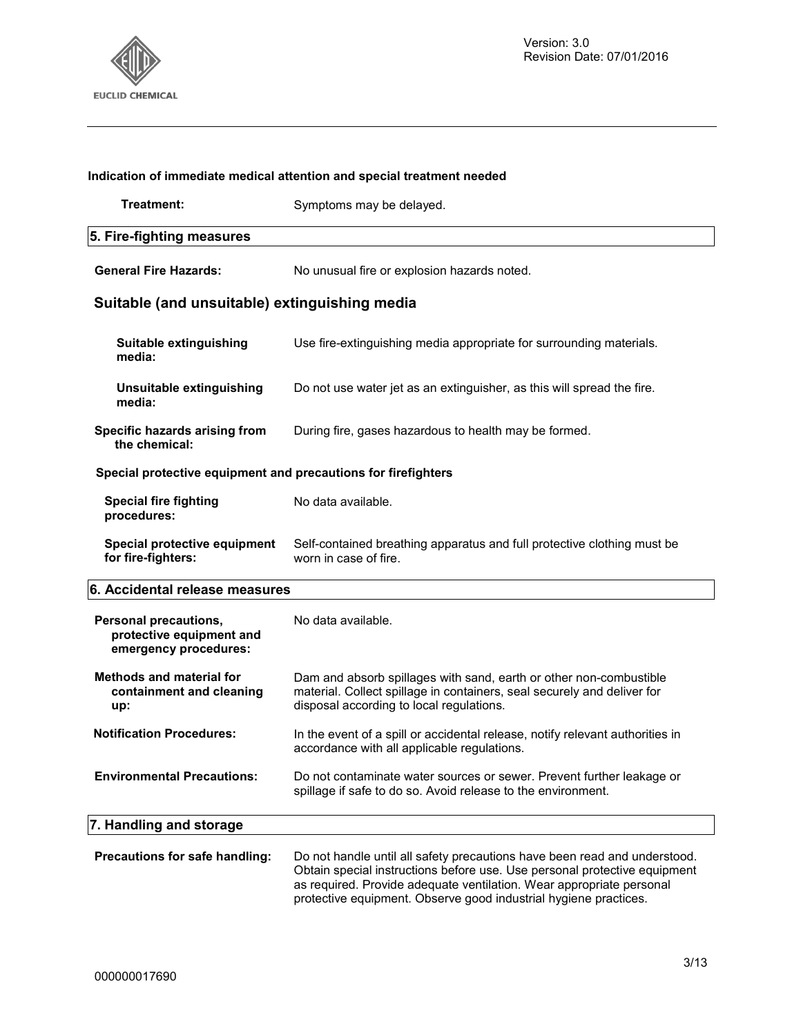

## **Indication of immediate medical attention and special treatment needed Treatment:** Symptoms may be delayed. **5. Fire-fighting measures General Fire Hazards:** No unusual fire or explosion hazards noted. **Suitable (and unsuitable) extinguishing media Suitable extinguishing media:** Use fire-extinguishing media appropriate for surrounding materials. **Unsuitable extinguishing media:**  Do not use water jet as an extinguisher, as this will spread the fire. **Specific hazards arising from the chemical:** During fire, gases hazardous to health may be formed. **Special protective equipment and precautions for firefighters Special fire fighting procedures:**  No data available. **Special protective equipment for fire-fighters:**  Self-contained breathing apparatus and full protective clothing must be worn in case of fire. **6. Accidental release measures Personal precautions, protective equipment and emergency procedures:**  No data available. **Methods and material for containment and cleaning up:**  Dam and absorb spillages with sand, earth or other non-combustible material. Collect spillage in containers, seal securely and deliver for disposal according to local regulations. **Notification Procedures:** In the event of a spill or accidental release, notify relevant authorities in accordance with all applicable regulations. **Environmental Precautions:** Do not contaminate water sources or sewer. Prevent further leakage or spillage if safe to do so. Avoid release to the environment. **7. Handling and storage Precautions for safe handling:** Do not handle until all safety precautions have been read and understood. Obtain special instructions before use. Use personal protective equipment

as required. Provide adequate ventilation. Wear appropriate personal protective equipment. Observe good industrial hygiene practices.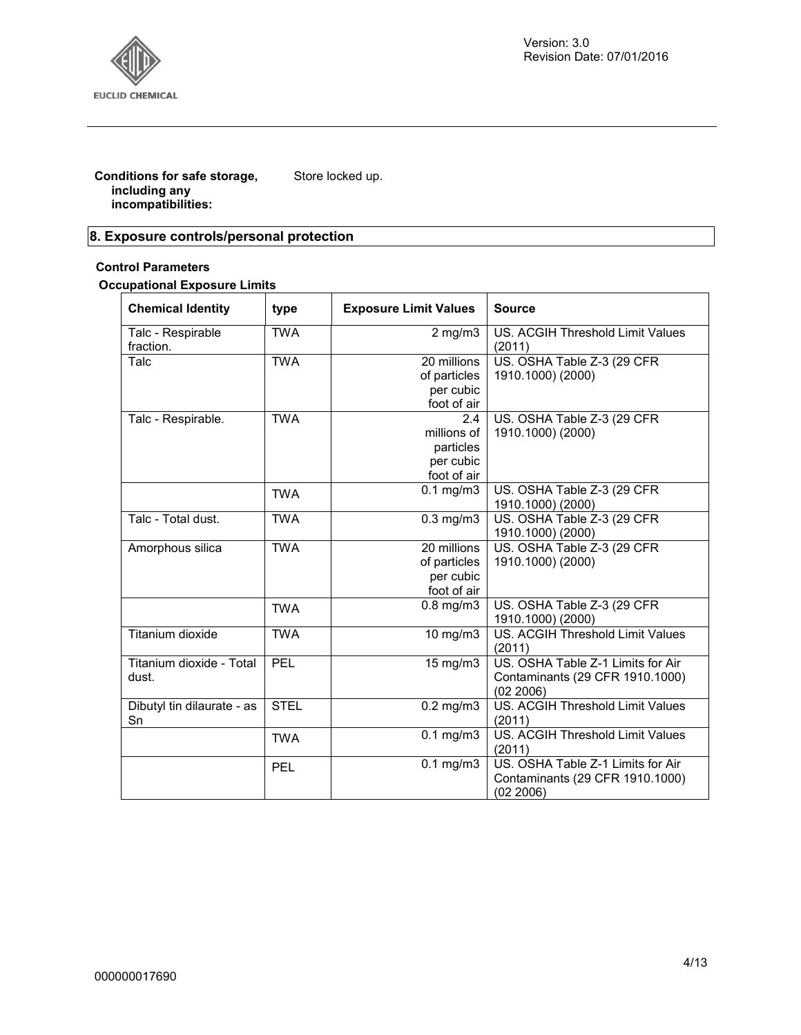

**Conditions for safe storage, including any incompatibilities:**  Store locked up.

## **8. Exposure controls/personal protection**

#### **Control Parameters**

**Occupational Exposure Limits**

| <b>Chemical Identity</b>       | type        | <b>Exposure Limit Values</b> | <b>Source</b>                                     |
|--------------------------------|-------------|------------------------------|---------------------------------------------------|
| Talc - Respirable<br>fraction. | <b>TWA</b>  | $2$ mg/m $3$                 | US. ACGIH Threshold Limit Values<br>(2011)        |
| Talc                           | <b>TWA</b>  | 20 millions                  | US. OSHA Table Z-3 (29 CFR                        |
|                                |             | of particles                 | 1910.1000) (2000)                                 |
|                                |             | per cubic                    |                                                   |
|                                |             | foot of air                  |                                                   |
| Talc - Respirable.             | <b>TWA</b>  | 2.4                          | US. OSHA Table Z-3 (29 CFR                        |
|                                |             | millions of                  | 1910.1000) (2000)                                 |
|                                |             | particles                    |                                                   |
|                                |             | per cubic                    |                                                   |
|                                |             | foot of air                  |                                                   |
|                                | <b>TWA</b>  | $0.1$ mg/m $3$               | US. OSHA Table Z-3 (29 CFR                        |
|                                |             |                              | 1910.1000) (2000)                                 |
| Talc - Total dust.             | <b>TWA</b>  | $0.3$ mg/m $3$               | US. OSHA Table Z-3 (29 CFR                        |
|                                |             |                              | 1910.1000) (2000)                                 |
| Amorphous silica               | <b>TWA</b>  | 20 millions                  | US. OSHA Table Z-3 (29 CFR                        |
|                                |             | of particles                 | 1910.1000) (2000)                                 |
|                                |             | per cubic                    |                                                   |
|                                |             | foot of air                  |                                                   |
|                                | <b>TWA</b>  | $0.8$ mg/m $3$               | US. OSHA Table Z-3 (29 CFR                        |
|                                |             |                              | 1910.1000) (2000)                                 |
| Titanium dioxide               | <b>TWA</b>  | 10 mg/m3                     | <b>US. ACGIH Threshold Limit Values</b><br>(2011) |
| Titanium dioxide - Total       | PEL         | 15 mg/m3                     | US. OSHA Table Z-1 Limits for Air                 |
| dust.                          |             |                              | Contaminants (29 CFR 1910.1000)                   |
|                                |             |                              | (02 2006)                                         |
| Dibutyl tin dilaurate - as     | <b>STEL</b> | $0.2$ mg/m $3$               | <b>US. ACGIH Threshold Limit Values</b>           |
| Sn                             |             |                              | (2011)                                            |
|                                | <b>TWA</b>  | $0.1$ mg/m $3$               | US. ACGIH Threshold Limit Values                  |
|                                |             |                              | (2011)                                            |
|                                | <b>PEL</b>  | $0.1$ mg/m $3$               | US. OSHA Table Z-1 Limits for Air                 |
|                                |             |                              | Contaminants (29 CFR 1910.1000)                   |
|                                |             |                              | (02 2006)                                         |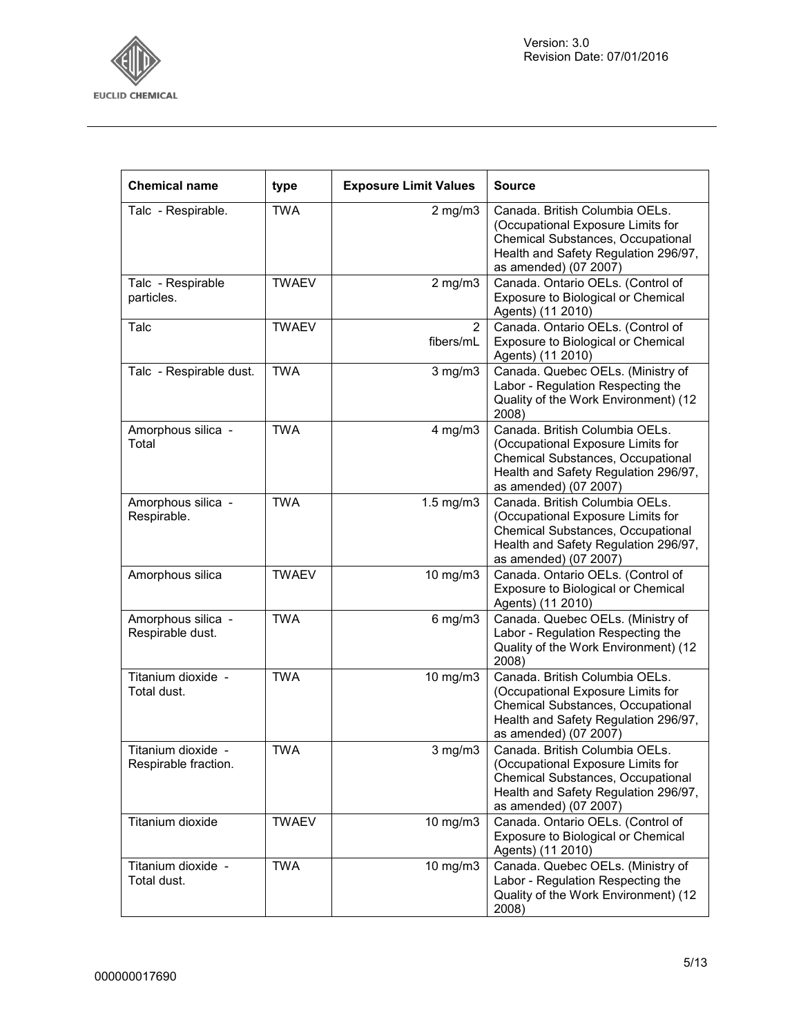

٦

| <b>Chemical name</b>                       | type         | <b>Exposure Limit Values</b> | Source                                                                                                                                                                    |
|--------------------------------------------|--------------|------------------------------|---------------------------------------------------------------------------------------------------------------------------------------------------------------------------|
| Talc - Respirable.                         | <b>TWA</b>   | $2$ mg/m $3$                 | Canada. British Columbia OELs.<br>(Occupational Exposure Limits for<br>Chemical Substances, Occupational<br>Health and Safety Regulation 296/97,<br>as amended) (07 2007) |
| Talc - Respirable<br>particles.            | <b>TWAEV</b> | $2$ mg/m $3$                 | Canada. Ontario OELs. (Control of<br>Exposure to Biological or Chemical<br>Agents) (11 2010)                                                                              |
| Talc                                       | <b>TWAEV</b> | $\overline{2}$<br>fibers/mL  | Canada. Ontario OELs. (Control of<br>Exposure to Biological or Chemical<br>Agents) (11 2010)                                                                              |
| Talc - Respirable dust.                    | <b>TWA</b>   | $3$ mg/m $3$                 | Canada. Quebec OELs. (Ministry of<br>Labor - Regulation Respecting the<br>Quality of the Work Environment) (12<br>2008)                                                   |
| Amorphous silica -<br>Total                | <b>TWA</b>   | $4$ mg/m $3$                 | Canada. British Columbia OELs.<br>(Occupational Exposure Limits for<br>Chemical Substances, Occupational<br>Health and Safety Regulation 296/97,<br>as amended) (07 2007) |
| Amorphous silica -<br>Respirable.          | <b>TWA</b>   | $1.5$ mg/m $3$               | Canada. British Columbia OELs.<br>(Occupational Exposure Limits for<br>Chemical Substances, Occupational<br>Health and Safety Regulation 296/97,<br>as amended) (07 2007) |
| Amorphous silica                           | <b>TWAEV</b> | 10 mg/m3                     | Canada. Ontario OELs. (Control of<br>Exposure to Biological or Chemical<br>Agents) (11 2010)                                                                              |
| Amorphous silica -<br>Respirable dust.     | <b>TWA</b>   | $6$ mg/m $3$                 | Canada. Quebec OELs. (Ministry of<br>Labor - Regulation Respecting the<br>Quality of the Work Environment) (12<br>2008)                                                   |
| Titanium dioxide -<br>Total dust.          | <b>TWA</b>   | 10 mg/m3                     | Canada. British Columbia OELs.<br>(Occupational Exposure Limits for<br>Chemical Substances, Occupational<br>Health and Safety Regulation 296/97,<br>as amended) (07 2007) |
| Titanium dioxide -<br>Respirable fraction. | <b>TWA</b>   | $3$ mg/m $3$                 | Canada. British Columbia OELs.<br>(Occupational Exposure Limits for<br>Chemical Substances, Occupational<br>Health and Safety Regulation 296/97,<br>as amended) (07 2007) |
| Titanium dioxide                           | <b>TWAEV</b> | 10 mg/m3                     | Canada. Ontario OELs. (Control of<br>Exposure to Biological or Chemical<br>Agents) (11 2010)                                                                              |
| Titanium dioxide -<br>Total dust.          | <b>TWA</b>   | 10 mg/m3                     | Canada. Quebec OELs. (Ministry of<br>Labor - Regulation Respecting the<br>Quality of the Work Environment) (12<br>2008)                                                   |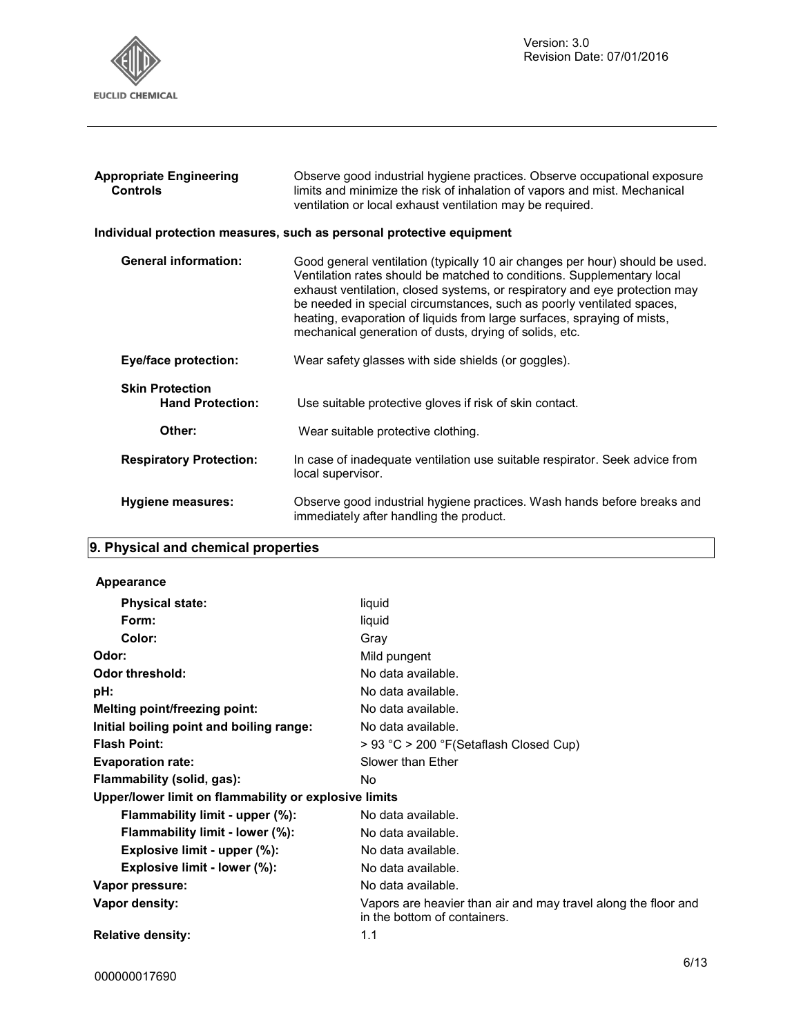

| <b>Appropriate Engineering</b><br><b>Controls</b> | Observe good industrial hygiene practices. Observe occupational exposure<br>limits and minimize the risk of inhalation of vapors and mist. Mechanical<br>ventilation or local exhaust ventilation may be required.                                                                                                                                                                                                                                 |
|---------------------------------------------------|----------------------------------------------------------------------------------------------------------------------------------------------------------------------------------------------------------------------------------------------------------------------------------------------------------------------------------------------------------------------------------------------------------------------------------------------------|
|                                                   | Individual protection measures, such as personal protective equipment                                                                                                                                                                                                                                                                                                                                                                              |
| <b>General information:</b>                       | Good general ventilation (typically 10 air changes per hour) should be used.<br>Ventilation rates should be matched to conditions. Supplementary local<br>exhaust ventilation, closed systems, or respiratory and eye protection may<br>be needed in special circumstances, such as poorly ventilated spaces,<br>heating, evaporation of liquids from large surfaces, spraying of mists,<br>mechanical generation of dusts, drying of solids, etc. |
| <b>Eye/face protection:</b>                       | Wear safety glasses with side shields (or goggles).                                                                                                                                                                                                                                                                                                                                                                                                |
| <b>Skin Protection</b><br><b>Hand Protection:</b> | Use suitable protective gloves if risk of skin contact.                                                                                                                                                                                                                                                                                                                                                                                            |
| Other:                                            | Wear suitable protective clothing.                                                                                                                                                                                                                                                                                                                                                                                                                 |
| <b>Respiratory Protection:</b>                    | In case of inadequate ventilation use suitable respirator. Seek advice from<br>local supervisor.                                                                                                                                                                                                                                                                                                                                                   |
| Hygiene measures:                                 | Observe good industrial hygiene practices. Wash hands before breaks and<br>immediately after handling the product.                                                                                                                                                                                                                                                                                                                                 |

## **9. Physical and chemical properties**

#### **Appearance**

| <b>Physical state:</b>                                | liquid                                                                                         |
|-------------------------------------------------------|------------------------------------------------------------------------------------------------|
| Form:                                                 | liquid                                                                                         |
| Color:                                                | Gray                                                                                           |
| Odor:                                                 | Mild pungent                                                                                   |
| Odor threshold:                                       | No data available.                                                                             |
| pH:                                                   | No data available.                                                                             |
| Melting point/freezing point:                         | No data available.                                                                             |
| Initial boiling point and boiling range:              | No data available.                                                                             |
| <b>Flash Point:</b>                                   | > 93 °C > 200 °F(Setaflash Closed Cup)                                                         |
| <b>Evaporation rate:</b>                              | Slower than Ether                                                                              |
| Flammability (solid, gas):                            | No.                                                                                            |
| Upper/lower limit on flammability or explosive limits |                                                                                                |
| Flammability limit - upper (%):                       | No data available.                                                                             |
| Flammability limit - lower (%):                       | No data available.                                                                             |
| Explosive limit - upper (%):                          | No data available.                                                                             |
| Explosive limit - lower (%):                          | No data available.                                                                             |
| Vapor pressure:                                       | No data available.                                                                             |
| Vapor density:                                        | Vapors are heavier than air and may travel along the floor and<br>in the bottom of containers. |
| <b>Relative density:</b>                              | 1.1                                                                                            |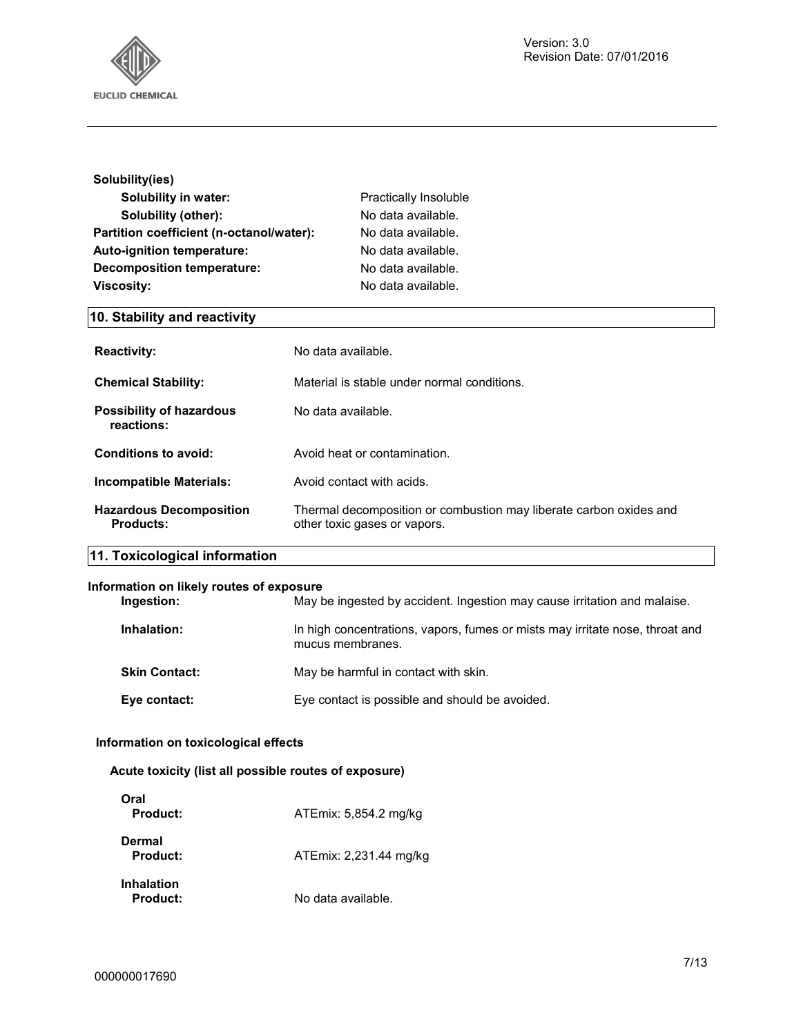

| Solubility(ies)                          |                       |
|------------------------------------------|-----------------------|
| <b>Solubility in water:</b>              | Practically Insoluble |
| Solubility (other):                      | No data available.    |
| Partition coefficient (n-octanol/water): | No data available.    |
| Auto-ignition temperature:               | No data available.    |
| <b>Decomposition temperature:</b>        | No data available.    |
| <b>Viscosity:</b>                        | No data available.    |

## **10. Stability and reactivity**

| <b>Reactivity:</b>                            | No data available.                                                                                 |
|-----------------------------------------------|----------------------------------------------------------------------------------------------------|
| <b>Chemical Stability:</b>                    | Material is stable under normal conditions.                                                        |
| <b>Possibility of hazardous</b><br>reactions: | No data available.                                                                                 |
| Conditions to avoid:                          | Avoid heat or contamination.                                                                       |
| <b>Incompatible Materials:</b>                | Avoid contact with acids.                                                                          |
| <b>Hazardous Decomposition</b><br>Products:   | Thermal decomposition or combustion may liberate carbon oxides and<br>other toxic gases or vapors. |
| 11. Toxicological information                 |                                                                                                    |

#### **Information on likely routes of exposure**

| Ingestion:           | May be ingested by accident. Ingestion may cause irritation and malaise.                         |
|----------------------|--------------------------------------------------------------------------------------------------|
| Inhalation:          | In high concentrations, vapors, fumes or mists may irritate nose, throat and<br>mucus membranes. |
| <b>Skin Contact:</b> | May be harmful in contact with skin.                                                             |
| Eye contact:         | Eye contact is possible and should be avoided.                                                   |

#### **Information on toxicological effects**

#### **Acute toxicity (list all possible routes of exposure)**

| Oral<br>Product:              | ATEmix: 5,854.2 mg/kg  |
|-------------------------------|------------------------|
| Dermal<br>Product:            | ATEmix: 2,231.44 mg/kg |
| <b>Inhalation</b><br>Product: | No data available.     |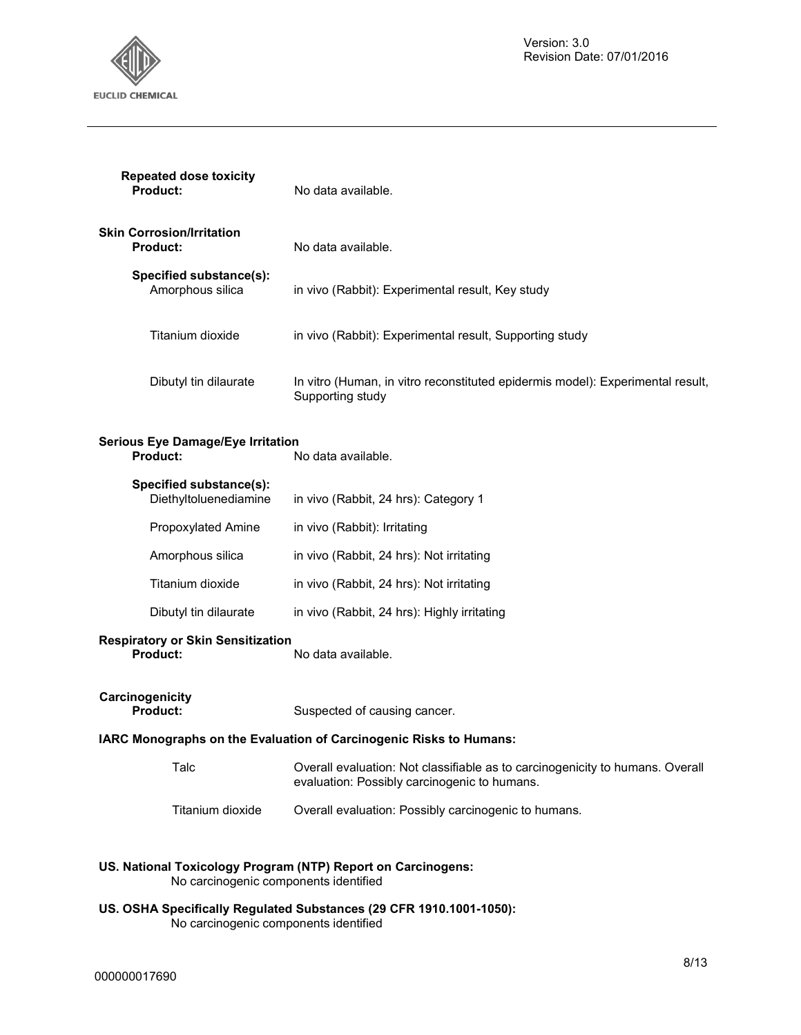

| <b>Repeated dose toxicity</b><br><b>Product:</b>     | No data available.                                                                                 |
|------------------------------------------------------|----------------------------------------------------------------------------------------------------|
| Skin Corrosion/Irritation<br><b>Product:</b>         | No data available.                                                                                 |
| Specified substance(s):<br>Amorphous silica          | in vivo (Rabbit): Experimental result, Key study                                                   |
| Titanium dioxide                                     | in vivo (Rabbit): Experimental result, Supporting study                                            |
| Dibutyl tin dilaurate                                | In vitro (Human, in vitro reconstituted epidermis model): Experimental result,<br>Supporting study |
| Serious Eye Damage/Eye Irritation<br><b>Product:</b> | No data available.                                                                                 |

| Specified substance(s):<br>Diethyltoluenediamine | in vivo (Rabbit, 24 hrs): Category 1        |
|--------------------------------------------------|---------------------------------------------|
| Propoxylated Amine                               | in vivo (Rabbit): Irritating                |
| Amorphous silica                                 | in vivo (Rabbit, 24 hrs): Not irritating    |
| Titanium dioxide                                 | in vivo (Rabbit, 24 hrs): Not irritating    |
| Dibutyl tin dilaurate                            | in vivo (Rabbit, 24 hrs): Highly irritating |

## **Respiratory or Skin Sensitization**

**Product:** No data available.

**Carcinogenicity** 

Suspected of causing cancer.

#### **IARC Monographs on the Evaluation of Carcinogenic Risks to Humans:**

| Talc | Overall evaluation: Not classifiable as to carcinogenicity to humans. Overall |
|------|-------------------------------------------------------------------------------|
|      | evaluation: Possibly carcinogenic to humans.                                  |

#### Titanium dioxide Overall evaluation: Possibly carcinogenic to humans.

#### **US. National Toxicology Program (NTP) Report on Carcinogens:**  No carcinogenic components identified

**US. OSHA Specifically Regulated Substances (29 CFR 1910.1001-1050):**  No carcinogenic components identified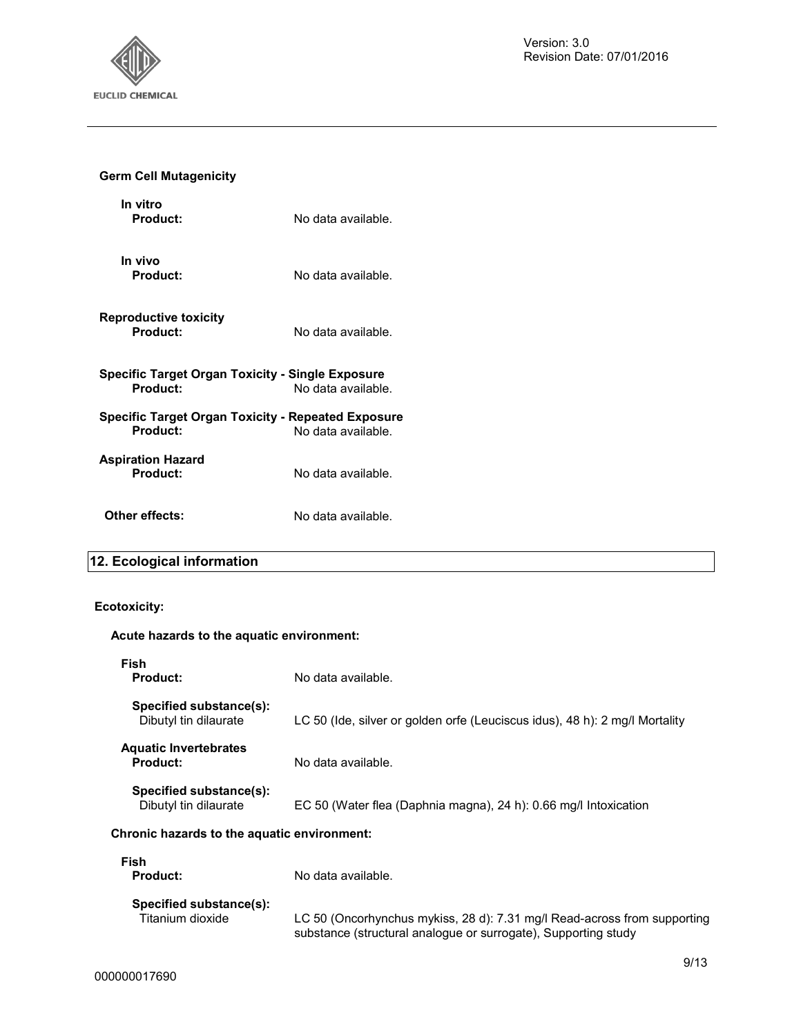

#### **Germ Cell Mutagenicity**

| In vitro<br><b>Product:</b>                                    | No data available. |
|----------------------------------------------------------------|--------------------|
| In vivo<br>Product:                                            | No data available. |
| Reproductive toxicity<br>Product:                              | No data available. |
| Specific Target Organ Toxicity - Single Exposure<br>Product:   | No data available. |
| Specific Target Organ Toxicity - Repeated Exposure<br>Product: | No data available. |
| Aspiration Hazard<br>Product:                                  | No data available. |
| Other effects:                                                 | No data available. |

## **12. Ecological information**

#### **Ecotoxicity:**

#### **Acute hazards to the aquatic environment:**

| Fish<br><b>Product:</b>                          | No data available.                                                          |
|--------------------------------------------------|-----------------------------------------------------------------------------|
| Specified substance(s):<br>Dibutyl tin dilaurate | LC 50 (Ide, silver or golden orfe (Leuciscus idus), 48 h): 2 mg/l Mortality |
| <b>Aquatic Invertebrates</b><br><b>Product:</b>  | No data available.                                                          |
| Specified substance(s):<br>Dibutyl tin dilaurate | EC 50 (Water flea (Daphnia magna), 24 h): 0.66 mg/l Intoxication            |
| Chronic hazards to the aquatic environment:      |                                                                             |
| Fish<br><b>Product:</b>                          | No data available.                                                          |
| Specified substance(s):<br>Titanium dioxide      | LC 50 (Oncorhynchus mykiss, 28 d): 7.31 mg/l Read-across from supporting    |

substance (structural analogue or surrogate), Supporting study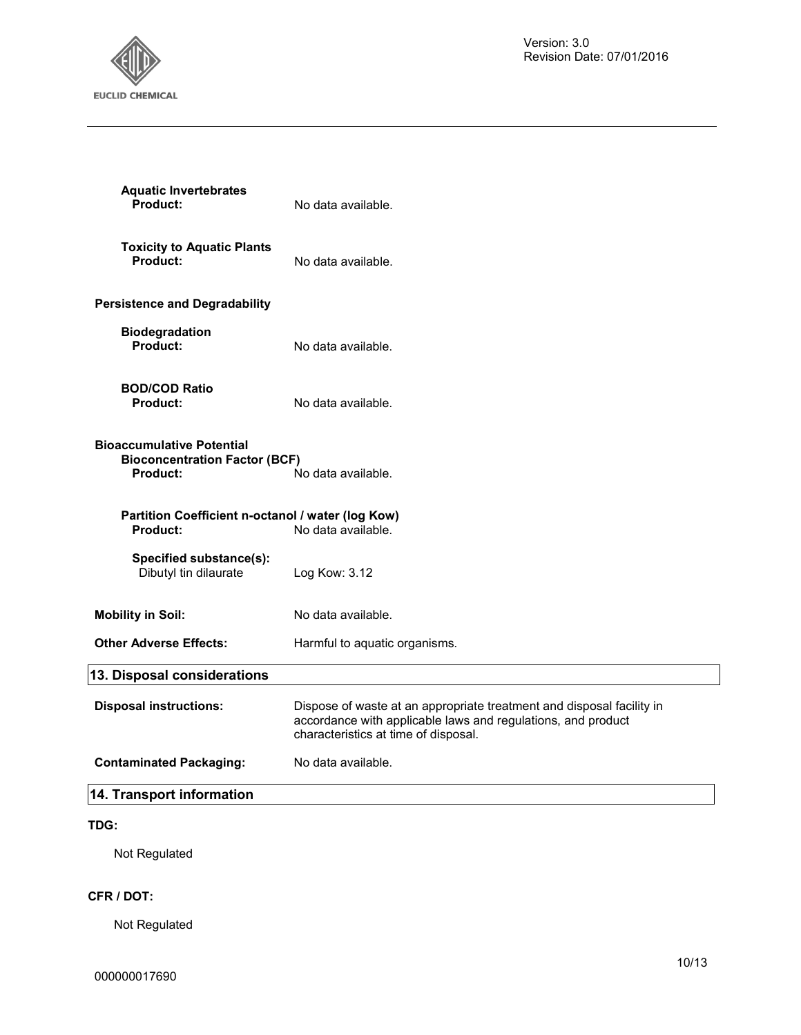

| <b>Aquatic Invertebrates</b><br>Product:                                             | No data available.                                                                                                                                                            |
|--------------------------------------------------------------------------------------|-------------------------------------------------------------------------------------------------------------------------------------------------------------------------------|
| <b>Toxicity to Aquatic Plants</b><br>Product:                                        | No data available.                                                                                                                                                            |
| <b>Persistence and Degradability</b>                                                 |                                                                                                                                                                               |
| <b>Biodegradation</b><br>Product:                                                    | No data available.                                                                                                                                                            |
| <b>BOD/COD Ratio</b><br><b>Product:</b>                                              | No data available.                                                                                                                                                            |
| <b>Bioaccumulative Potential</b><br><b>Bioconcentration Factor (BCF)</b><br>Product: | No data available.                                                                                                                                                            |
| Partition Coefficient n-octanol / water (log Kow)<br><b>Product:</b>                 | No data available.                                                                                                                                                            |
| Specified substance(s):<br>Dibutyl tin dilaurate                                     | Log Kow: 3.12                                                                                                                                                                 |
| <b>Mobility in Soil:</b>                                                             | No data available.                                                                                                                                                            |
| <b>Other Adverse Effects:</b>                                                        | Harmful to aquatic organisms.                                                                                                                                                 |
| 13. Disposal considerations                                                          |                                                                                                                                                                               |
| <b>Disposal instructions:</b>                                                        | Dispose of waste at an appropriate treatment and disposal facility in<br>accordance with applicable laws and regulations, and product<br>characteristics at time of disposal. |
| <b>Contaminated Packaging:</b>                                                       | No data available.                                                                                                                                                            |
| 14. Transport information                                                            |                                                                                                                                                                               |

#### **TDG:**

Not Regulated

#### **CFR / DOT:**

Not Regulated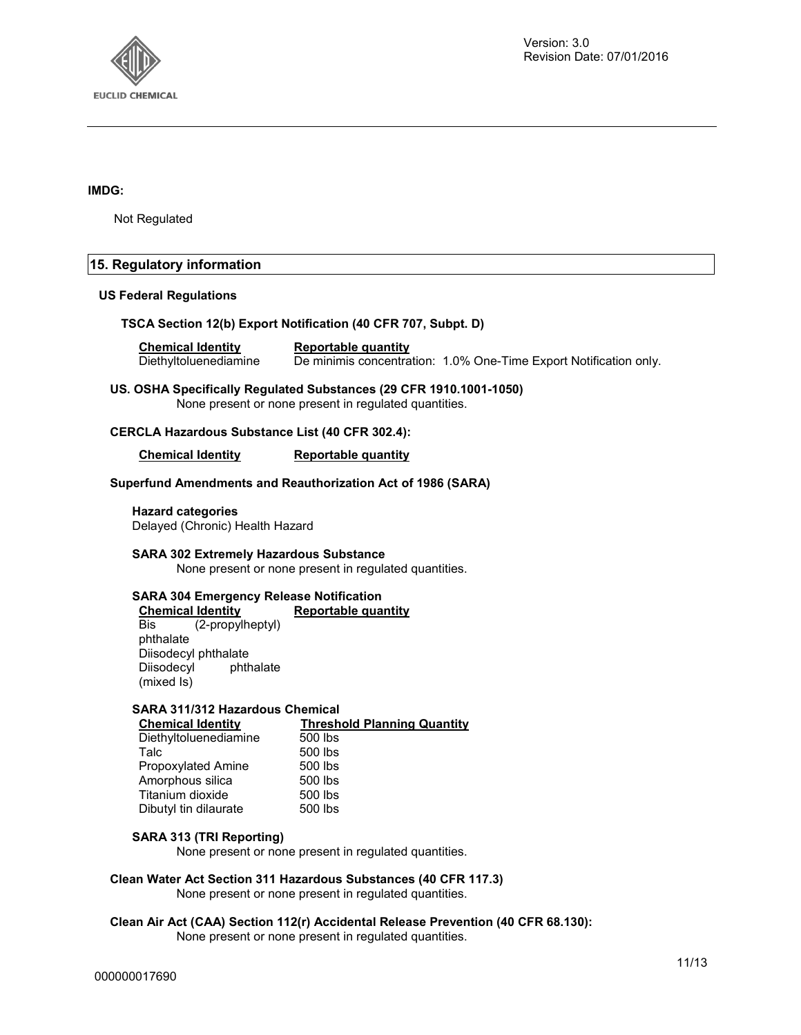

#### **IMDG:**

Not Regulated

#### **15. Regulatory information**

#### **US Federal Regulations**

#### **TSCA Section 12(b) Export Notification (40 CFR 707, Subpt. D)**

**Chemical Identity Reportable quantity**  Diethyltoluenediamine De minimis concentration: 1.0% One-Time Export Notification only.

**US. OSHA Specifically Regulated Substances (29 CFR 1910.1001-1050)**  None present or none present in regulated quantities.

#### **CERCLA Hazardous Substance List (40 CFR 302.4):**

**Chemical Identity Reportable quantity** 

#### **Superfund Amendments and Reauthorization Act of 1986 (SARA)**

**Hazard categories**  Delayed (Chronic) Health Hazard

**SARA 302 Extremely Hazardous Substance** 

None present or none present in regulated quantities.

## **SARA 304 Emergency Release Notification**

**Chemical Identity Reportable quantity**<br>Bis (2-propylheptyl) (2-propylheptyl) phthalate Diisodecyl phthalate<br>Diisodecyl phthalate Diisodecyl (mixed Is)

#### **SARA 311/312 Hazardous Chemical**

| <b>Chemical Identity</b>  | <b>Threshold Planning Quantity</b> |
|---------------------------|------------------------------------|
| Diethyltoluenediamine     | 500 lbs                            |
| Talc                      | 500 lbs                            |
| <b>Propoxylated Amine</b> | 500 lbs                            |
| Amorphous silica          | 500 lbs                            |
| Titanium dioxide          | 500 lbs                            |
| Dibutyl tin dilaurate     | 500 lbs                            |
|                           |                                    |

#### **SARA 313 (TRI Reporting)**

None present or none present in regulated quantities.

#### **Clean Water Act Section 311 Hazardous Substances (40 CFR 117.3)**

None present or none present in regulated quantities.

### **Clean Air Act (CAA) Section 112(r) Accidental Release Prevention (40 CFR 68.130):**

None present or none present in regulated quantities.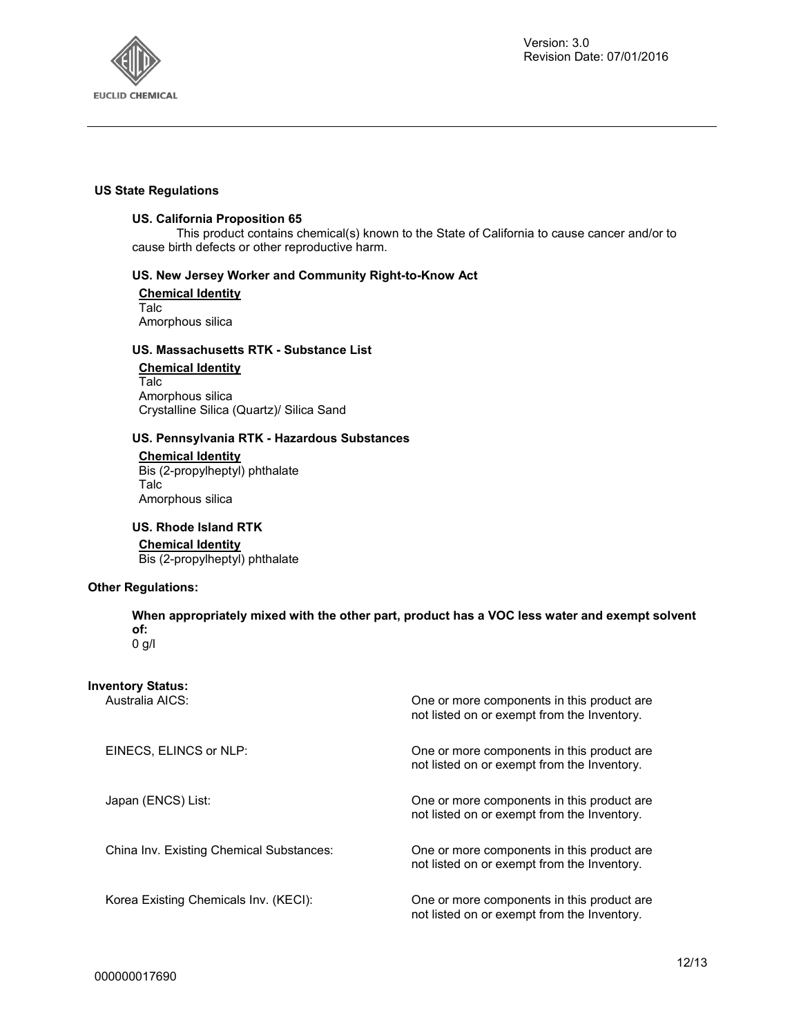

#### **US State Regulations**

#### **US. California Proposition 65**

This product contains chemical(s) known to the State of California to cause cancer and/or to cause birth defects or other reproductive harm.

#### **US. New Jersey Worker and Community Right-to-Know Act**

**Chemical Identity** Talc Amorphous silica

#### **US. Massachusetts RTK - Substance List**

#### **Chemical Identity** Talc Amorphous silica

Crystalline Silica (Quartz)/ Silica Sand

#### **US. Pennsylvania RTK - Hazardous Substances**

**Chemical Identity** Bis (2-propylheptyl) phthalate Talc Amorphous silica

#### **US. Rhode Island RTK**

#### **Chemical Identity**

Bis (2-propylheptyl) phthalate

#### **Other Regulations:**

**When appropriately mixed with the other part, product has a VOC less water and exempt solvent of:**  0 g/l

**Inventory Status:**

| Australia AICS: |  |
|-----------------|--|
|-----------------|--|

| Australia AICS:                          | One or more components in this product are.<br>not listed on or exempt from the Inventory. |
|------------------------------------------|--------------------------------------------------------------------------------------------|
| EINECS, ELINCS or NLP:                   | One or more components in this product are.<br>not listed on or exempt from the Inventory. |
| Japan (ENCS) List:                       | One or more components in this product are.<br>not listed on or exempt from the Inventory. |
| China Inv. Existing Chemical Substances: | One or more components in this product are.<br>not listed on or exempt from the Inventory. |
| Korea Existing Chemicals Inv. (KECI):    | One or more components in this product are.<br>not listed on or exempt from the Inventory. |